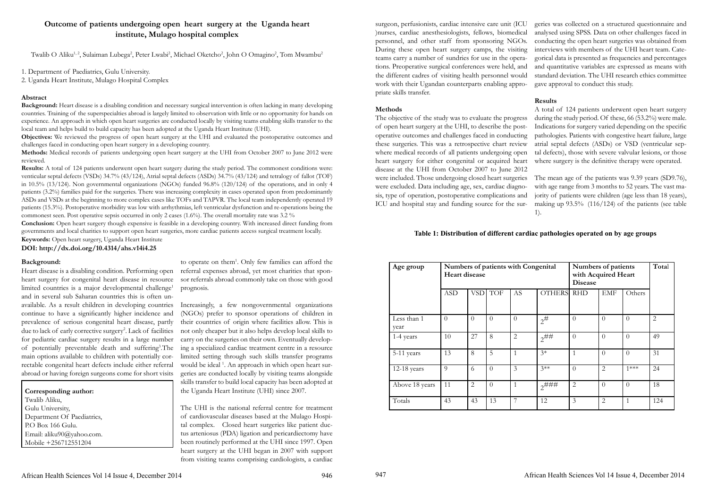# **Outcome of patients undergoing open heart surgery at the Uganda heart institute, Mulago hospital complex**

Twalib O Aliku<sup>1,2</sup>, Sulaiman Lubega<sup>2</sup>, Peter Lwabi<sup>2</sup>, Michael Oketcho<sup>2</sup>, John O Omagino<sup>2</sup>, Tom Mwambu<sup>2</sup>

1. Department of Paediatrics, Gulu University.

2. Uganda Heart Institute, Mulago Hospital Complex

## **Abstract**

**Background:** Heart disease is a disabling condition and necessary surgical intervention is often lacking in many developing countries. Training of the superspecialties abroad is largely limited to observation with little or no opportunity for hands on experience. An approach in which open heart surgeries are conducted locally by visiting teams enabling skills transfer to the local team and helps build to build capacity has been adopted at the Uganda Heart Institute (UHI).

**Objectives:** We reviewed the progress of open heart surgery at the UHI and evaluated the postoperative outcomes and challenges faced in conducting open heart surgery in a developing country.

**Methods:** Medical records of patients undergoing open heart surgery at the UHI from October 2007 to June 2012 were reviewed.

**Results:** A total of 124 patients underwent open heart surgery during the study period. The commonest conditions were: venticular septal defects (VSDs) 34.7% (43/124), Atrial septal defects (ASDs) 34.7% (43/124) and tetralogy of fallot (TOF) in 10.5% (13/124). Non governmental organizations (NGOs) funded 96.8% (120/124) of the operations, and in only 4 patients (3.2%) families paid for the surgeries. There was increasing complexity in cases operated upon from predominantly ASDs and VSDs at the beginning to more complex cases like TOFs and TAPVR. The local team independently operated 19 patients (15.3%). Postoperative morbidity was low with arrhythmias, left ventricular dysfunction and re-operations being the commonest seen. Post operative sepsis occurred in only 2 cases (1.6%). The overall mortality rate was 3.2 %

Heart disease is a disabling condition. Performing open referral expenses abroad, yet most charities that sponheart surgery for congenital heart disease in resource limited countries is a major developmental challenge<sup>1</sup> and in several sub Saharan countries this is often unavailable. As a result children in developing countries continue to have a significantly higher incidence and prevalence of serious congenital heart disease, partly due to lack of early corrective surgery<sup>2</sup>. Lack of facilities for pediatric cardiac surgery results in a large number of potentially preventable death and suffering<sup>3</sup>. The main options available to children with potentially correctable congenital heart defects include either referral abroad or having foreign surgeons come for short visits

to operate on them<sup>1</sup>. Only few families can afford the sor referrals abroad commonly take on those with good prognosis.

**Conclusion:** Open heart surgery though expensive is feasible in a developing country. With increased direct funding from governments and local charities to support open heart surgeries, more cardiac patients access surgical treatment locally. **Keywords:** Open heart surgery, Uganda Heart Institute

**DOI: http://dx.doi.org/10.4314/ahs.v14i4.25**

 **Corresponding author:**  Twalib Aliku, Gulu University, Department Of Paediatrics, P.O Box 166 Gulu. Email: aliku90@yahoo.com. Mobile +256712551204

## **Background:**

Increasingly, a few nongovernmental organizations (NGOs) prefer to sponsor operations of children in their countries of origin where facilities allow. This is not only cheaper but it also helps develop local skills to carry on the surgeries on their own. Eventually developing a specialized cardiac treatment centre in a resource limited setting through such skills transfer programs would be ideal<sup>1</sup>. An approach in which open heart surgeries are conducted locally by visiting teams alongside skills transfer to build local capacity has been adopted at the Uganda Heart Institute (UHI) since 2007.

The UHI is the national referral centre for treatment of cardiovascular diseases based at the Mulago Hospital complex. Closed heart surgeries like patient ductus arteniosus (PDA) ligation and pericardiectomy have been routinely performed at the UHI since 1997. Open heart surgery at the UHI began in 2007 with support from visiting teams comprising cardiologists, a cardiac surgeon, perfusionists, cardiac intensive care unit (ICU )nurses, cardiac anesthesiologists, fellows, biomedical personnel, and other staff from sponsoring NGOs. During these open heart surgery camps, the visiting teams carry a number of sundries for use in the operations. Preoperative surgical conferences were held, and the different cadres of visiting health personnel would work with their Ugandan counterparts enabling appropriate skills transfer.

## **Methods**

geries was collected on a structured questionnaire and analysed using SPSS. Data on other challenges faced in conducting the open heart surgeries was obtained from interviews with members of the UHI heart team. Categorical data is presented as frequencies and percentages and quantitative variables are expressed as means with standard deviation. The UHI research ethics committee gave approval to conduct this study.

The objective of the study was to evaluate the progress of open heart surgery at the UHI, to describe the postoperative outcomes and challenges faced in conducting these surgeries. This was a retrospective chart review where medical records of all patients undergoing open heart surgery for either congenital or acquired heart disease at the UHI from October 2007 to June 2012 were included. Those undergoing closed heart surgeries were excluded. Data including age, sex, cardiac diagnosis, type of operation, postoperative complications and ICU and hospital stay and funding source for the sur-A total of 124 patients underwent open heart surgery during the study period. Of these, 66 (53.2%) were male. Indications for surgery varied depending on the specific pathologies. Patients with congestive heart failure, large atrial septal defects (ASDs) or VSD (ventricular septal defects), those with severe valvular lesions, or those where surgery is the definitive therapy were operated. The mean age of the patients was 9.39 years (SD9.76), with age range from 3 months to 52 years. The vast majority of patients were children (age less than 18 years), making up 93.5% (116/124) of the patients (see table 1).

## **Results**

| Age group           | <b>Heart disease</b> |              |                | Numbers of patients with Congenital | Numbers of patients<br>with Acquired Heart<br><b>Disease</b> |                |                | Total          |                |
|---------------------|----------------------|--------------|----------------|-------------------------------------|--------------------------------------------------------------|----------------|----------------|----------------|----------------|
|                     | <b>ASD</b>           |              | VSD TOF        | AS                                  | <b>OTHERS</b>                                                | <b>RHD</b>     | <b>EMF</b>     | Others         |                |
| Less than 1<br>year | $\overline{0}$       | $\theta$     | $\overline{0}$ | $\overline{0}$                      | $2^{\#}$                                                     | $\overline{0}$ | $\overline{0}$ | $\theta$       | $\overline{2}$ |
| 1-4 years           | 10                   | 27           | 8              | $\overline{2}$                      | $2^{\# \#}$                                                  | $\overline{0}$ | $\theta$       | $\overline{0}$ | 49             |
| 5-11 years          | 13                   | 8            | 5              | $\mathbf{1}$                        | $3*$                                                         | $\mathbf{1}$   | $\theta$       | $\overline{0}$ | 31             |
| $12-18$ years       | 9                    | 6            | $\overline{0}$ | 3                                   | $3**$                                                        | $\theta$       | $\overline{2}$ | $1***$         | 24             |
| Above 18 years      | 11                   | $\mathbf{2}$ | $\overline{0}$ | $\mathbf{1}$                        | $2^{\# \# \#}$                                               | $\overline{2}$ | $\theta$       | $\overline{0}$ | 18             |
| Totals              | 43                   | 43           | 13             | 7                                   | 12                                                           | 3              | 2              | $\mathbf{1}$   | 124            |

## **Table 1: Distribution of different cardiac pathologies operated on by age groups**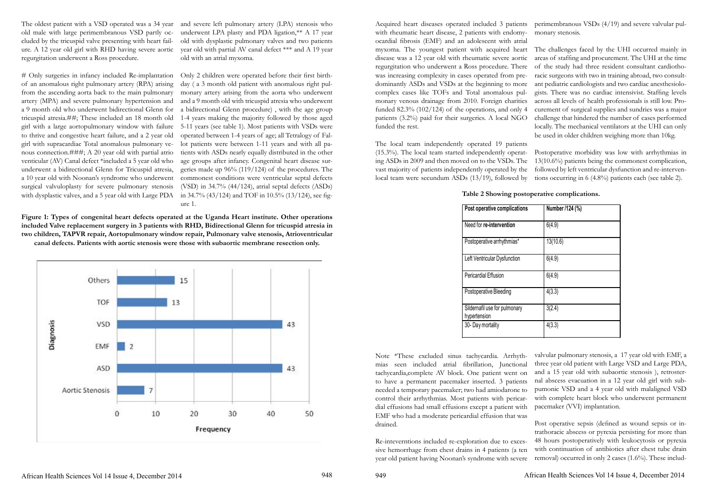The oldest patient with a VSD operated was a 34 year and severe left pulmonary artery (LPA) stenosis who old male with large perimembranous VSD partly occluded by the tricuspid valve presenting with heart failure. A 12 year old girl with RHD having severe aortic year old with partial AV canal defect \*\*\* and A 19 year regurgitation underwent a Ross procedure.

# Only surgeries in infancy included Re-implantation Only 2 children were operated before their first birthof an anomalous right pulmonary artery (RPA) arising from the ascending aorta back to the main pulmonary artery (MPA) and severe pulmonary hypertension and a 9 month old who underwent bidirectional Glenn for tricuspid atresia.##; These included an 18 month old girl with a large aortopulmonary window with failure to thrive and congestive heart failure, and a 2 year old girl with supracardiac Total anomalous pulmonary venous connection.###; A 20 year old with partial atrio venticular (AV) Canal defect \*included a 5 year old who underwent a bidirectional Glenn for Tricuspid atresia, a 10 year old with Noonan's syndrome who underwent surgical valvuloplasty for severe pulmonary stenosis with dysplastic valves, and a 5 year old with Large PDA in 34.7% (43/124) and TOF in 10.5% (13/124), see fig-

underwent LPA plasty and PDA ligation,\*\* A 17 year old with dysplastic pulmonary valves and two patients old with an atrial myxoma.

day ( a 3 month old patient with anomalous right pulmonary artery arising from the aorta who underwent and a 9 month old with tricuspid atresia who underwent a bidirectional Glenn procedure) , with the age group 1-4 years making the majority followed by those aged 5-11 years (see table 1). Most patients with VSDs were operated between 1-4 years of age; all Tetralogy of Fallot patients were between 1-11 years and with all patients with ASDs nearly equally distributed in the other age groups after infancy. Congenital heart disease surgeries made up 96% (119/124) of the procedures. The commonest conditions were ventricular septal defects (VSD) in 34.7% (44/124), atrial septal defects (ASDs) ure 1.

**Figure 1: Types of congenital heart defects operated at the Uganda Heart institute. Other operations included Valve replacement surgery in 3 patients with RHD, Bidirectional Glenn for tricuspid atresia in two children, TAPVR repair, Aortopulmonary window repair, Pulmonary valve stenosis, Atrioventricular canal defects. Patients with aortic stenosis were those with subaortic membrane resection only.**



Acquired heart diseases operated included 3 patients perimembranous VSDs (4/19) and severe valvular pulwith rheumatic heart disease, 2 patients with endomyocardial fibrosis (EMF) and an adolescent with atrial myxoma. The youngest patient with acquired heart disease was a 12 year old with rheumatic severe aortic regurgitation who underwent a Ross procedure. There was increasing complexity in cases operated from predominantly ASDs and VSDs at the beginning to more ant pediatric cardiologists and two cardiac anesthesiolocomplex cases like TOFs and Total anomalous pulmonary venous drainage from 2010. Foreign charities funded  $82.3\%$  (102/124) of the operations, and only 4 patients (3.2%) paid for their surgeries. A local NGO funded the rest. monary stenosis. The challenges faced by the UHI occurred mainly in areas of staffing and procurement. The UHI at the time of the study had three resident consultant cardiothoracic surgeons with two in training abroad, two consultgists. There was no cardiac intensivist. Staffing levels across all levels of health professionals is still low. Procurement of surgical supplies and sundries was a major challenge that hindered the number of cases performed locally. The mechanical ventilators at the UHI can only be used in older children weighing more than 10kg.

The local team independently operated 19 patients (15.3%). The local team started independently operating ASDs in 2009 and then moved on to the VSDs. The vast majority of patients independently operated by the local team were secundum ASDs (13/19), followed by Postoperative morbidity was low with arrhythmias in 13(10.6%) patients being the commonest complication, followed by left ventricular dysfunction and re-interventions occurring in 6 (4.8%) patients each (see table 2).

Note \*These excluded sinus tachycardia. Arrhythmias seen included atrial fibrillation, Junctional tachycardia,complete AV block. One patient went on to have a permanent pacemaker inserted. 3 patients needed a temporary pacemaker; two had amiodarone to control their arrhythmias. Most patients with pericardial effusions had small effusions except a patient with EMF who had a moderate pericardial effusion that was drained. valvular pulmonary stenosis, a 17 year old with EMF, a three year old patient with Large VSD and Large PDA, and a 15 year old with subaortic stenosis ), retrosternal abscess evacuation in a 12 year old girl with subpumonic VSD and a 4 year old with malaligned VSD with complete heart block who underwent permanent pacemaker (VVI) implantation. Post operative sepsis (defined as wound sepsis or in-

Re-inteverntions included re-exploration due to excessive hemorrhage from chest drains in 4 patients (a ten year old patient having Noonan's syndrome with severe trathoracic abscess or pyrexia persisting for more than 48 hours postoperatively with leukocytosis or pyrexia with continuation of antibiotics after chest tube drain removal) occurred in only 2 cases (1.6%). These includ-

African Health Sciences Vol 14 Issue 4, December 2014 948 949 African Health Sciences Vol 14 Issue 4, December 2014

| Post operative complications                  | Number /124 (%) |  |  |  |  |
|-----------------------------------------------|-----------------|--|--|--|--|
| Need for re-intervention                      | 6(4.9)          |  |  |  |  |
| Postoperative arrhythmias*                    | 13(10.6)        |  |  |  |  |
| Left Ventricular Dysfunction                  | 6(4.9)          |  |  |  |  |
| Pericardial Effusion                          | 6(4.9)          |  |  |  |  |
| Postoperative Bleeding                        | 4(3.3)          |  |  |  |  |
| Sildernafil use for pulmonary<br>hypertension | 3(2.4)          |  |  |  |  |
| 30- Day mortality                             | 4(3.3)          |  |  |  |  |

## **Table 2 Showing postoperative complications.**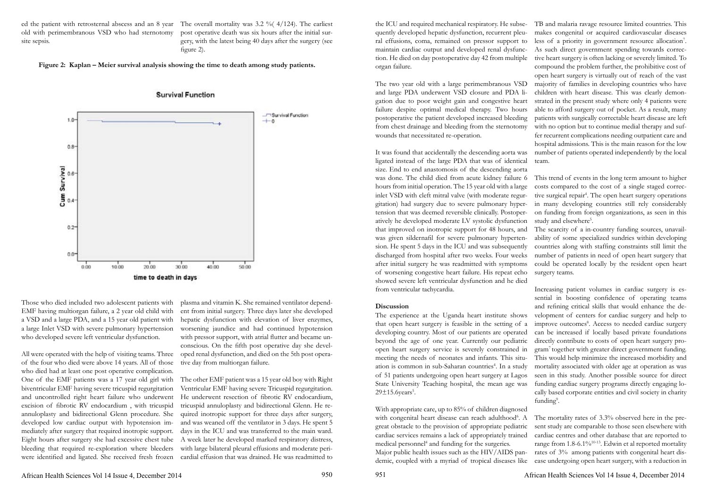ed the patient with retrosternal abscess and an 8 year The overall mortality was 3.2 % (4/124). The earliest old with perimembranous VSD who had sternotomy site sepsis.

post operative death was six hours after the initial surgery, with the latest being 40 days after the surgery (see figure 2).

**Figure 2: Kaplan – Meier survival analysis showing the time to death among study patients.**



**Survival Function** 

Those who died included two adolescent patients with EMF having multiorgan failure, a 2 year old child with a VSD and a large PDA, and a 15 year old patient with a large Inlet VSD with severe pulmonary hypertension who developed severe left ventricular dysfunction.

All were operated with the help of visiting teams. Three of the four who died were above 14 years. All of those who died had at least one post operative complication. One of the EMF patients was a 17 year old girl with biventricular EMF having severe tricuspid regurgitation and uncontrolled right heart failure who underwent excision of fibrotic RV endocardium , with tricuspid annuloplasty and bidirectional Glenn procedure. She developed low cardiac output with hypotension immediately after surgery that required inotropic support. Eight hours after surgery she had excessive chest tube bleeding that required re-exploration where bleeders were identified and ligated. She received fresh frozen

plasma and vitamin K. She remained ventilator dependent from initial surgery. Three days later she developed hepatic dysfunction with elevation of liver enzymes, worsening jaundice and had continued hypotension with pressor support, with atrial flutter and became unconscious. On the fifth post operative day she developed renal dysfunction, and died on the 5th post operative day from multiorgan failure.

from ventricular tachycardia. **Discussion** The experience at the Uganda heart institute shows that open heart surgery is feasible in the setting of a developing country. Most of our patients are operated beyond the age of one year. Currently our pediatric open heart surgery service is severely constrained in meeting the needs of neonates and infants. This situation is common in sub-Saharan countries<sup>4</sup>. In a study of 51 patients undergoing open heart surgery at Lagos State University Teaching hospital, the mean age was  $29\pm15.6$ years<sup>5</sup>. Increasing patient volumes in cardiac surgery is essential in boosting confidence of operating teams and refining critical skills that would enhance the development of centers for cardiac surgery and help to improve outcomes<sup>8</sup>. Access to needed cardiac surgery can be increased if locally based private foundations directly contribute to costs of open heart surgery program7 together with greater direct government funding. This would help minimize the increased morbidity and mortality associated with older age at operation as was seen in this study. Another possible source for direct funding cardiac surgery programs directly engaging locally based corporate entities and civil society in charity funding<sup>9</sup>.

The other EMF patient was a 15 year old boy with Right Ventricular EMF having severe Tricuspid regurgitation. He underwent resection of fibrotic RV endocardium, tricuspid annuloplasty and bidirectional Glenn. He required inotropic support for three days after surgery, and was weaned off the ventilator in 3 days. He spent 5 days in the ICU and was transferred to the main ward. A week later he developed marked respiratory distress, with large bilateral pleural effusions and moderate pericardial effusion that was drained. He was readmitted to

the ICU and required mechanical respiratory. He subse-TB and malaria ravage resource limited countries. This quently developed hepatic dysfunction, recurrent pleural effusions, coma, remained on pressor support to maintain cardiac output and developed renal dysfunction. He died on day postoperative day 42 from multiple organ failure. The two year old with a large perimembranous VSD and large PDA underwent VSD closure and PDA ligation due to poor weight gain and congestive heart failure despite optimal medical therapy. Two hours postoperative the patient developed increased bleeding from chest drainage and bleeding from the sternotomy wounds that necessitated re-operation. It was found that accidentally the descending aorta was ligated instead of the large PDA that was of identical makes congenital or acquired cardiovascular diseases less of a priority in government resource allocation<sup>7</sup>. As such direct government spending towards corrective heart surgery is often lacking or severely limited. To compound the problem further, the prohibitive cost of open heart surgery is virtually out of reach of the vast majority of families in developing countries who have children with heart disease. This was clearly demonstrated in the present study where only 4 patients were able to afford surgery out of pocket. As a result, many patients with surgically correctable heart disease are left with no option but to continue medial therapy and suffer recurrent complications needing outpatient care and hospital admissions. This is the main reason for the low number of patients operated independently by the local team.

size. End to end anastomosis of the descending aorta was done. The child died from acute kidney failure 6 hours from initial operation. The 15 year old with a large inlet VSD with cleft mitral valve (with moderate regurgitation) had surgery due to severe pulmonary hypertension that was deemed reversible clinically. Postoperatively he developed moderate LV systolic dysfunction that improved on inotropic support for 48 hours, and was given sildernafil for severe pulmonary hypertension. He spent 5 days in the ICU and was subsequently discharged from hospital after two weeks. Four weeks after initial surgery he was readmitted with symptoms of worsening congestive heart failure. His repeat echo showed severe left ventricular dysfunction and he died This trend of events in the long term amount to higher costs compared to the cost of a single staged corrective surgical repair<sup>4</sup>. The open heart surgery operations in many developing countries still rely considerably on funding from foreign organizations, as seen in this study and elsewhere<sup>5</sup>. The scarcity of a in-country funding sources, unavailability of some specialized sundries within developing countries along with staffing constraints still limit the number of patients in need of open heart surgery that could be operated locally by the resident open heart surgery teams.

With appropriate care, up to 85% of children diagnosed with congenital heart disease can reach adulthood<sup>6</sup>. A great obstacle to the provision of appropriate pediatric cardiac services remains a lack of appropriately trained medical personnel<sup>4</sup> and funding for the surgeries. Major public health issues such as the HIV/AIDS pandemic, coupled with a myriad of tropical diseases like The mortality rates of 3.3% observed here in the present study are comparable to those seen elsewhere with cardiac centres and other database that are reported to range from 1.8-6.1%<sup>10-13</sup>. Edwin et al reported mortality rates of 3% among patients with congenital heart disease undergoing open heart surgery, with a reduction in

African Health Sciences Vol 14 Issue 4, December 2014 950 951 African Health Sciences Vol 14 Issue 4, December 2014